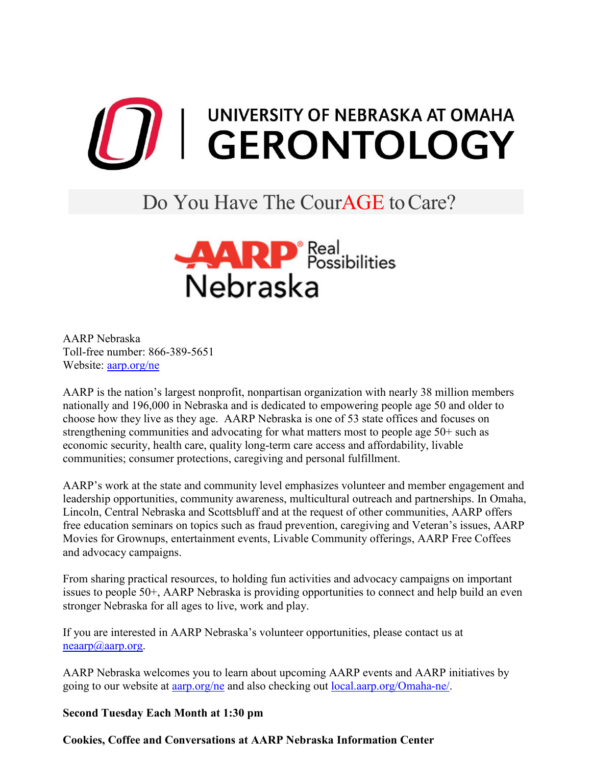

## Do You Have The CourAGE to Care?



AARP Nebraska Toll-free number: 866-389-5651 Website: <u>aarp.org/ne</u>

AARP is the nation's largest nonprofit, nonpartisan organization with nearly 38 million members nationally and 196,000 in Nebraska and is dedicated to empowering people age 50 and older to choose how they live as they age. AARP Nebraska is one of 53 state offices and focuses on strengthening communities and advocating for what matters most to people age 50+ such as economic security, health care, quality long-term care access and affordability, livable communities; consumer protections, caregiving and personal fulfillment.

AARP's work at the state and community level emphasizes volunteer and member engagement and leadership opportunities, community awareness, multicultural outreach and partnerships. In Omaha, Lincoln, Central Nebraska and Scottsbluff and at the request of other communities, AARP offers free education seminars on topics such as fraud prevention, caregiving and Veteran's issues, AARP Movies for Grownups, entertainment events, Livable Community offerings, AARP Free Coffees and advocacy campaigns.

From sharing practical resources, to holding fun activities and advocacy campaigns on important issues to people 50+, AARP Nebraska is providing opportunities to connect and help build an even stronger Nebraska for all ages to live, work and play.

If you are interested in AARP Nebraska's volunteer opportunities, please contact us at  $neaarp(a)aarp.org.$ 

AARP Nebraska welcomes you to learn about upcoming AARP events and AARP initiatives by going to our website at [aarp.org/ne](https://states.aarp.org/region/nebraska/) and also checking out [local.aarp.org/Omaha-ne/.](https://local.aarp.org/omaha-ne/)

## **Second Tuesday Each Month at 1:30 pm**

**Cookies, Coffee and Conversations at AARP Nebraska Information Center**